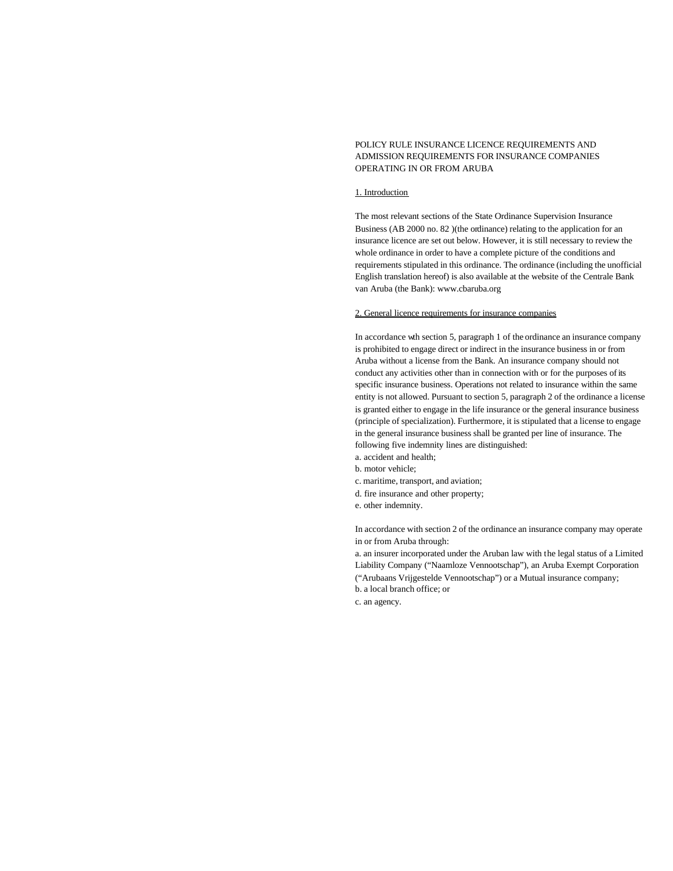# POLICY RULE INSURANCE LICENCE REQUIREMENTS AND ADMISSION REQUIREMENTS FOR INSURANCE COMPANIES OPERATING IN OR FROM ARUBA

## 1. Introduction

The most relevant sections of the State Ordinance Supervision Insurance Business (AB 2000 no. 82 )(the ordinance) relating to the application for an insurance licence are set out below. However, it is still necessary to review the whole ordinance in order to have a complete picture of the conditions and requirements stipulated in this ordinance. The ordinance (including the unofficial English translation hereof) is also available at the website of the Centrale Bank van Aruba (the Bank): www.cbaruba.org

### 2. General licence requirements for insurance companies

In accordance wth section 5, paragraph 1 of the ordinance an insurance company is prohibited to engage direct or indirect in the insurance business in or from Aruba without a license from the Bank. An insurance company should not conduct any activities other than in connection with or for the purposes of its specific insurance business. Operations not related to insurance within the same entity is not allowed. Pursuant to section 5, paragraph 2 of the ordinance a license is granted either to engage in the life insurance or the general insurance business (principle of specialization). Furthermore, it is stipulated that a license to engage in the general insurance business shall be granted per line of insurance. The following five indemnity lines are distinguished:

- a. accident and health;
- b. motor vehicle;
- c. maritime, transport, and aviation;
- d. fire insurance and other property;
- e. other indemnity.

In accordance with section 2 of the ordinance an insurance company may operate in or from Aruba through:

a. an insurer incorporated under the Aruban law with the legal status of a Limited Liability Company ("Naamloze Vennootschap"), an Aruba Exempt Corporation ("Arubaans Vrijgestelde Vennootschap") or a Mutual insurance company; b. a local branch office; or

c. an agency.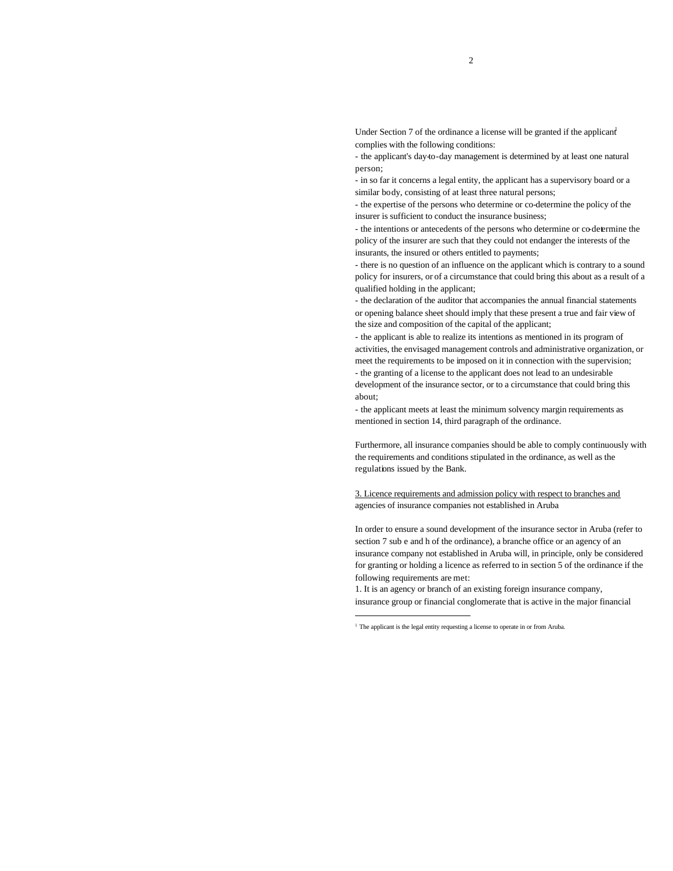Under Section 7 of the ordinance a license will be granted if the applicant complies with the following conditions:

- the applicant's day-to-day management is determined by at least one natural person;

- in so far it concerns a legal entity, the applicant has a supervisory board or a similar body, consisting of at least three natural persons;

- the expertise of the persons who determine or co-determine the policy of the insurer is sufficient to conduct the insurance business;

- the intentions or antecedents of the persons who determine or co-determine the policy of the insurer are such that they could not endanger the interests of the insurants, the insured or others entitled to payments;

- there is no question of an influence on the applicant which is contrary to a sound policy for insurers, or of a circumstance that could bring this about as a result of a qualified holding in the applicant;

- the declaration of the auditor that accompanies the annual financial statements or opening balance sheet should imply that these present a true and fair view of the size and composition of the capital of the applicant;

- the applicant is able to realize its intentions as mentioned in its program of activities, the envisaged management controls and administrative organization, or meet the requirements to be imposed on it in connection with the supervision; - the granting of a license to the applicant does not lead to an undesirable development of the insurance sector, or to a circumstance that could bring this about;

- the applicant meets at least the minimum solvency margin requirements as mentioned in section 14, third paragraph of the ordinance.

Furthermore, all insurance companies should be able to comply continuously with the requirements and conditions stipulated in the ordinance, as well as the regulations issued by the Bank.

3. Licence requirements and admission policy with respect to branches and agencies of insurance companies not established in Aruba

In order to ensure a sound development of the insurance sector in Aruba (refer to section 7 sub e and h of the ordinance), a branche office or an agency of an insurance company not established in Aruba will, in principle, only be considered for granting or holding a licence as referred to in section 5 of the ordinance if the following requirements are met:

1. It is an agency or branch of an existing foreign insurance company, insurance group or financial conglomerate that is active in the major financial

j

<sup>&</sup>lt;sup>1</sup> The applicant is the legal entity requesting a license to operate in or from Aruba.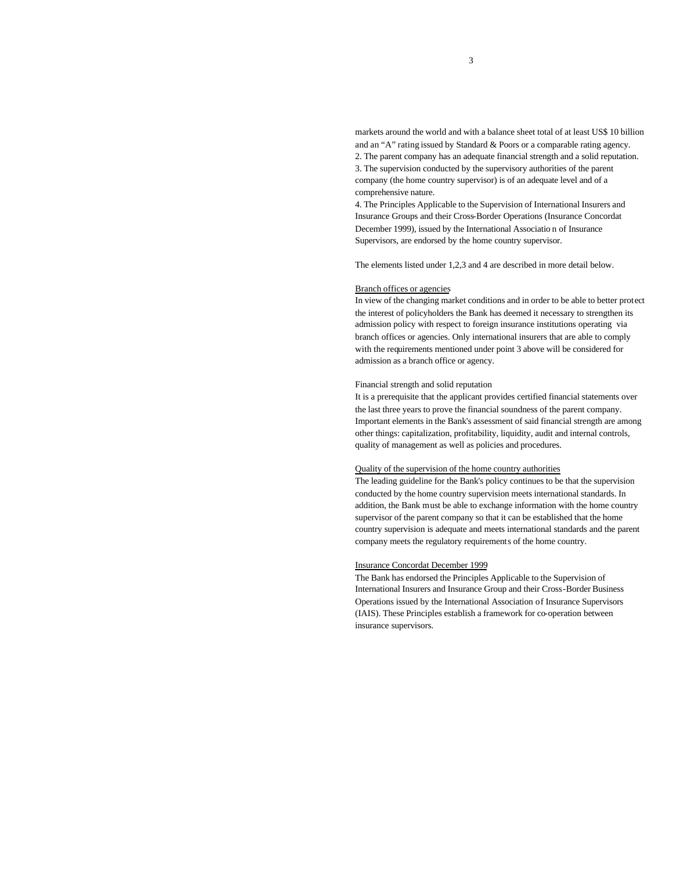markets around the world and with a balance sheet total of at least US\$ 10 billion and an "A" rating issued by Standard & Poors or a comparable rating agency. 2. The parent company has an adequate financial strength and a solid reputation. 3. The supervision conducted by the supervisory authorities of the parent company (the home country supervisor) is of an adequate level and of a comprehensive nature.

4. The Principles Applicable to the Supervision of International Insurers and Insurance Groups and their Cross-Border Operations (Insurance Concordat December 1999), issued by the International Associatio n of Insurance Supervisors, are endorsed by the home country supervisor.

The elements listed under 1,2,3 and 4 are described in more detail below.

### Branch offices or agencies

In view of the changing market conditions and in order to be able to better protect the interest of policyholders the Bank has deemed it necessary to strengthen its admission policy with respect to foreign insurance institutions operating via branch offices or agencies. Only international insurers that are able to comply with the requirements mentioned under point 3 above will be considered for admission as a branch office or agency.

#### Financial strength and solid reputation

It is a prerequisite that the applicant provides certified financial statements over the last three years to prove the financial soundness of the parent company. Important elements in the Bank's assessment of said financial strength are among other things: capitalization, profitability, liquidity, audit and internal controls, quality of management as well as policies and procedures.

### Quality of the supervision of the home country authorities

The leading guideline for the Bank's policy continues to be that the supervision conducted by the home country supervision meets international standards. In addition, the Bank must be able to exchange information with the home country supervisor of the parent company so that it can be established that the home country supervision is adequate and meets international standards and the parent company meets the regulatory requirements of the home country.

### Insurance Concordat December 1999

The Bank has endorsed the Principles Applicable to the Supervision of International Insurers and Insurance Group and their Cross-Border Business Operations issued by the International Association of Insurance Supervisors (IAIS). These Principles establish a framework for co-operation between insurance supervisors.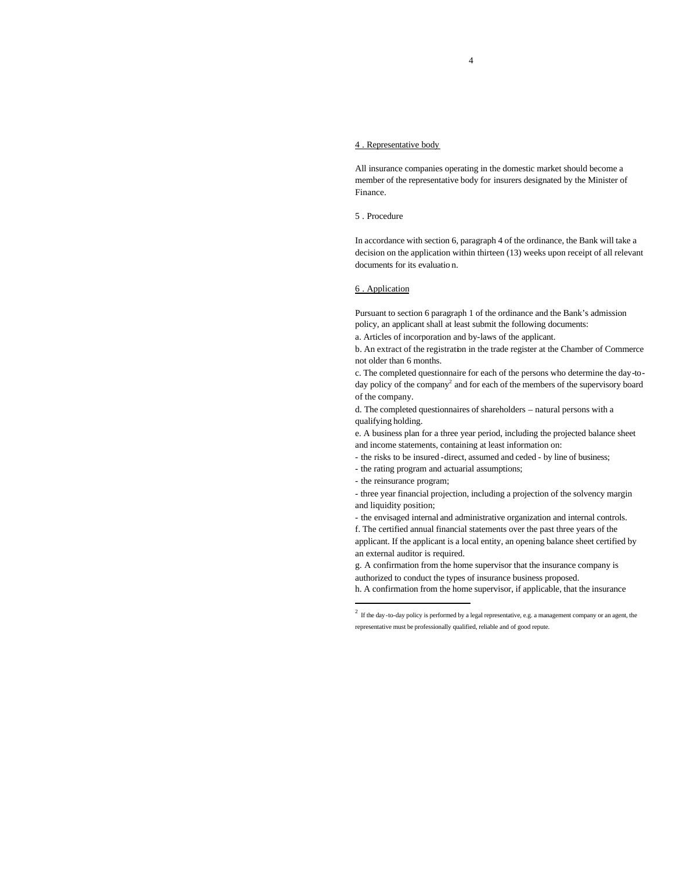## 4 . Representative body

All insurance companies operating in the domestic market should become a member of the representative body for insurers designated by the Minister of Finance.

## 5 . Procedure

In accordance with section 6, paragraph 4 of the ordinance, the Bank will take a decision on the application within thirteen (13) weeks upon receipt of all relevant documents for its evaluatio n.

## 6 . Application

Pursuant to section 6 paragraph 1 of the ordinance and the Bank's admission policy, an applicant shall at least submit the following documents:

a. Articles of incorporation and by-laws of the applicant.

b. An extract of the registration in the trade register at the Chamber of Commerce not older than 6 months.

c. The completed questionnaire for each of the persons who determine the day-today policy of the company<sup>2</sup> and for each of the members of the supervisory board of the company.

d. The completed questionnaires of shareholders – natural persons with a qualifying holding.

e. A business plan for a three year period, including the projected balance sheet and income statements, containing at least information on:

- the risks to be insured -direct, assumed and ceded by line of business;
- the rating program and actuarial assumptions;
- the reinsurance program;

j

- three year financial projection, including a projection of the solvency margin and liquidity position;

- the envisaged internal and administrative organization and internal controls.

f. The certified annual financial statements over the past three years of the

applicant. If the applicant is a local entity, an opening balance sheet certified by an external auditor is required.

g. A confirmation from the home supervisor that the insurance company is authorized to conduct the types of insurance business proposed.

h. A confirmation from the home supervisor, if applicable, that the insurance

 $2 \text{ If the day-to-day policy is performed by a legal representative, e.g. a management company or an agent, the$ representative must be professionally qualified, reliable and of good repute.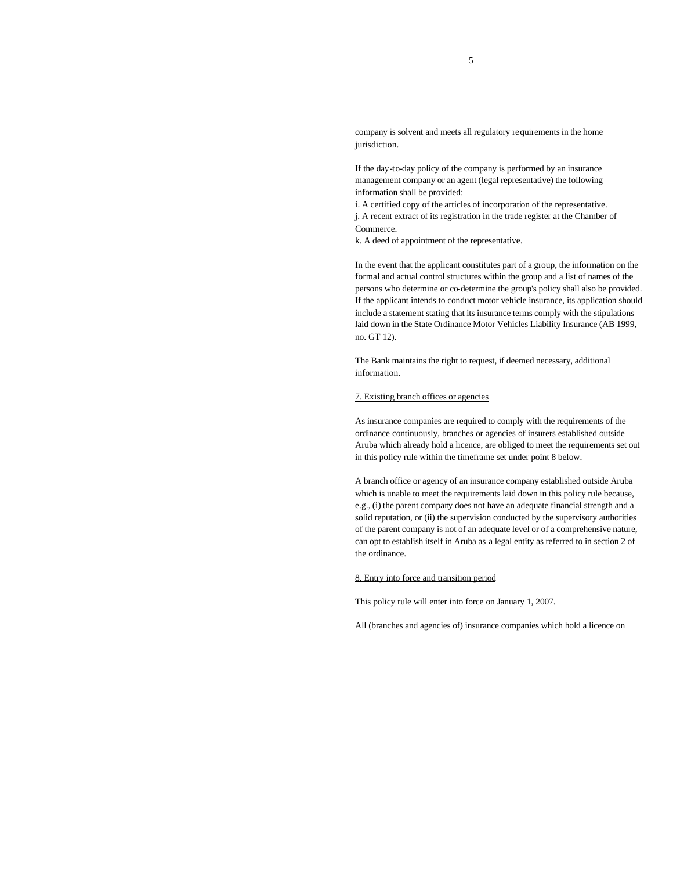company is solvent and meets all regulatory requirements in the home jurisdiction.

If the day-to-day policy of the company is performed by an insurance management company or an agent (legal representative) the following information shall be provided:

i. A certified copy of the articles of incorporation of the representative. j. A recent extract of its registration in the trade register at the Chamber of Commerce.

k. A deed of appointment of the representative.

In the event that the applicant constitutes part of a group, the information on the formal and actual control structures within the group and a list of names of the persons who determine or co-determine the group's policy shall also be provided. If the applicant intends to conduct motor vehicle insurance, its application should include a statement stating that its insurance terms comply with the stipulations laid down in the State Ordinance Motor Vehicles Liability Insurance (AB 1999, no. GT 12).

The Bank maintains the right to request, if deemed necessary, additional information.

### 7. Existing branch offices or agencies

As insurance companies are required to comply with the requirements of the ordinance continuously, branches or agencies of insurers established outside Aruba which already hold a licence, are obliged to meet the requirements set out in this policy rule within the timeframe set under point 8 below.

A branch office or agency of an insurance company established outside Aruba which is unable to meet the requirements laid down in this policy rule because, e.g., (i) the parent company does not have an adequate financial strength and a solid reputation, or (ii) the supervision conducted by the supervisory authorities of the parent company is not of an adequate level or of a comprehensive nature, can opt to establish itself in Aruba as a legal entity as referred to in section 2 of the ordinance.

### 8. Entry into force and transition period

This policy rule will enter into force on January 1, 2007.

All (branches and agencies of) insurance companies which hold a licence on